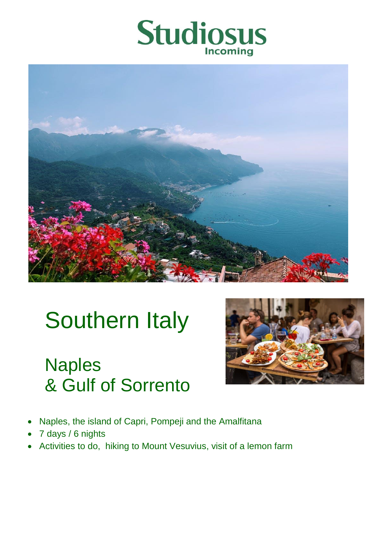



# Southern Italy

# Naples & Gulf of Sorrento



- Naples, the island of Capri, Pompeji and the Amalfitana
- 7 days / 6 nights
- Activities to do, hiking to Mount Vesuvius, visit of a lemon farm